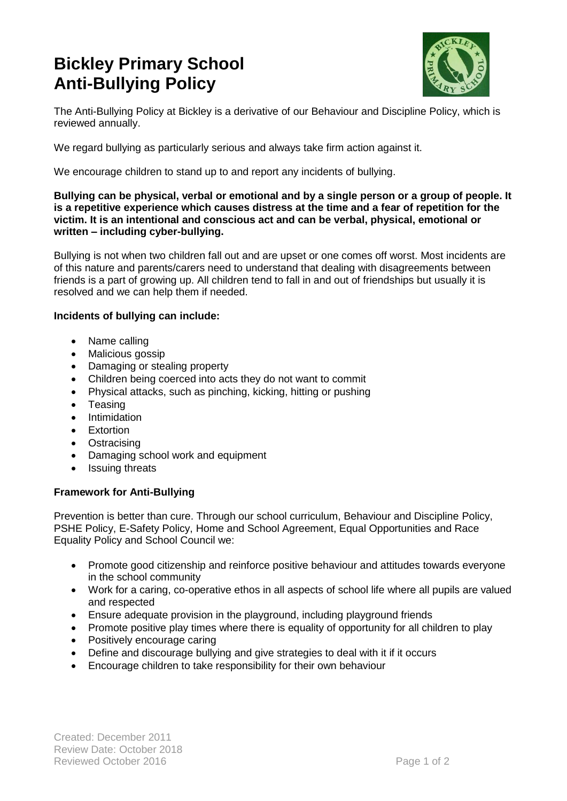# **Bickley Primary School Anti-Bullying Policy**



The Anti-Bullying Policy at Bickley is a derivative of our Behaviour and Discipline Policy, which is reviewed annually.

We regard bullying as particularly serious and always take firm action against it.

We encourage children to stand up to and report any incidents of bullying.

#### **Bullying can be physical, verbal or emotional and by a single person or a group of people. It is a repetitive experience which causes distress at the time and a fear of repetition for the victim. It is an intentional and conscious act and can be verbal, physical, emotional or written – including cyber-bullying.**

Bullying is not when two children fall out and are upset or one comes off worst. Most incidents are of this nature and parents/carers need to understand that dealing with disagreements between friends is a part of growing up. All children tend to fall in and out of friendships but usually it is resolved and we can help them if needed.

### **Incidents of bullying can include:**

- Name calling
- Malicious gossip
- Damaging or stealing property
- Children being coerced into acts they do not want to commit
- Physical attacks, such as pinching, kicking, hitting or pushing
- Teasing
- Intimidation
- **•** Extortion
- Ostracising
- Damaging school work and equipment
- Issuing threats

## **Framework for Anti-Bullying**

Prevention is better than cure. Through our school curriculum, Behaviour and Discipline Policy, PSHE Policy, E-Safety Policy, Home and School Agreement, Equal Opportunities and Race Equality Policy and School Council we:

- Promote good citizenship and reinforce positive behaviour and attitudes towards everyone in the school community
- Work for a caring, co-operative ethos in all aspects of school life where all pupils are valued and respected
- Ensure adequate provision in the playground, including playground friends
- Promote positive play times where there is equality of opportunity for all children to play
- Positively encourage caring
- Define and discourage bullying and give strategies to deal with it if it occurs
- Encourage children to take responsibility for their own behaviour